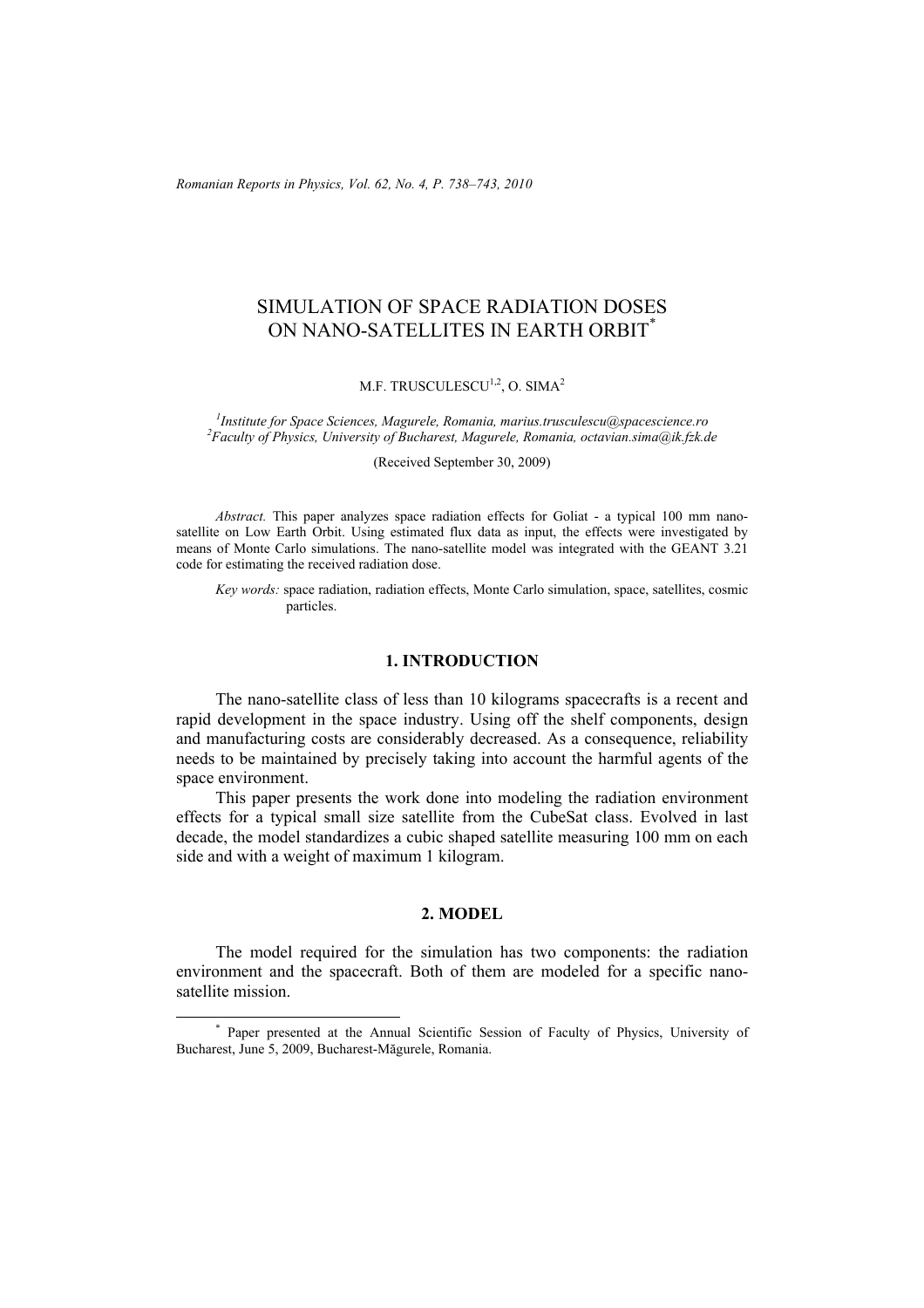*Romanian Reports in Physics, Vol. 62, No. 4, P. 738–743, 2010*

# SIMULATION OF SPACE RADIATION DOSES ON NANO-SATELLITES IN EARTH ORBIT\*

M.F. TRUSCULESCU<sup>1,2</sup>, O. SIMA<sup>2</sup>

<sup>1</sup> Institute for Space Sciences, Magurele, Romania, marius.trusculescu@spacescience.ro <sup>2</sup> Eggultu of Physics, *Liniusmity of Puologysta* Permania, estavian sima@il fel d *Faculty of Physics, University of Bucharest, Magurele, Romania, octavian.sima@ik.fzk.de* 

(Received September 30, 2009)

*Abstract.* This paper analyzes space radiation effects for Goliat - a typical 100 mm nanosatellite on Low Earth Orbit. Using estimated flux data as input, the effects were investigated by means of Monte Carlo simulations. The nano-satellite model was integrated with the GEANT 3.21 code for estimating the received radiation dose.

*Key words:* space radiation, radiation effects, Monte Carlo simulation, space, satellites, cosmic particles.

### **1. INTRODUCTION**

The nano-satellite class of less than 10 kilograms spacecrafts is a recent and rapid development in the space industry. Using off the shelf components, design and manufacturing costs are considerably decreased. As a consequence, reliability needs to be maintained by precisely taking into account the harmful agents of the space environment.

This paper presents the work done into modeling the radiation environment effects for a typical small size satellite from the CubeSat class. Evolved in last decade, the model standardizes a cubic shaped satellite measuring 100 mm on each side and with a weight of maximum 1 kilogram.

# **2. MODEL**

The model required for the simulation has two components: the radiation environment and the spacecraft. Both of them are modeled for a specific nanosatellite mission.

 <sup>\*</sup> Paper presented at the Annual Scientific Session of Faculty of Physics, University of Bucharest, June 5, 2009, Bucharest-Măgurele, Romania.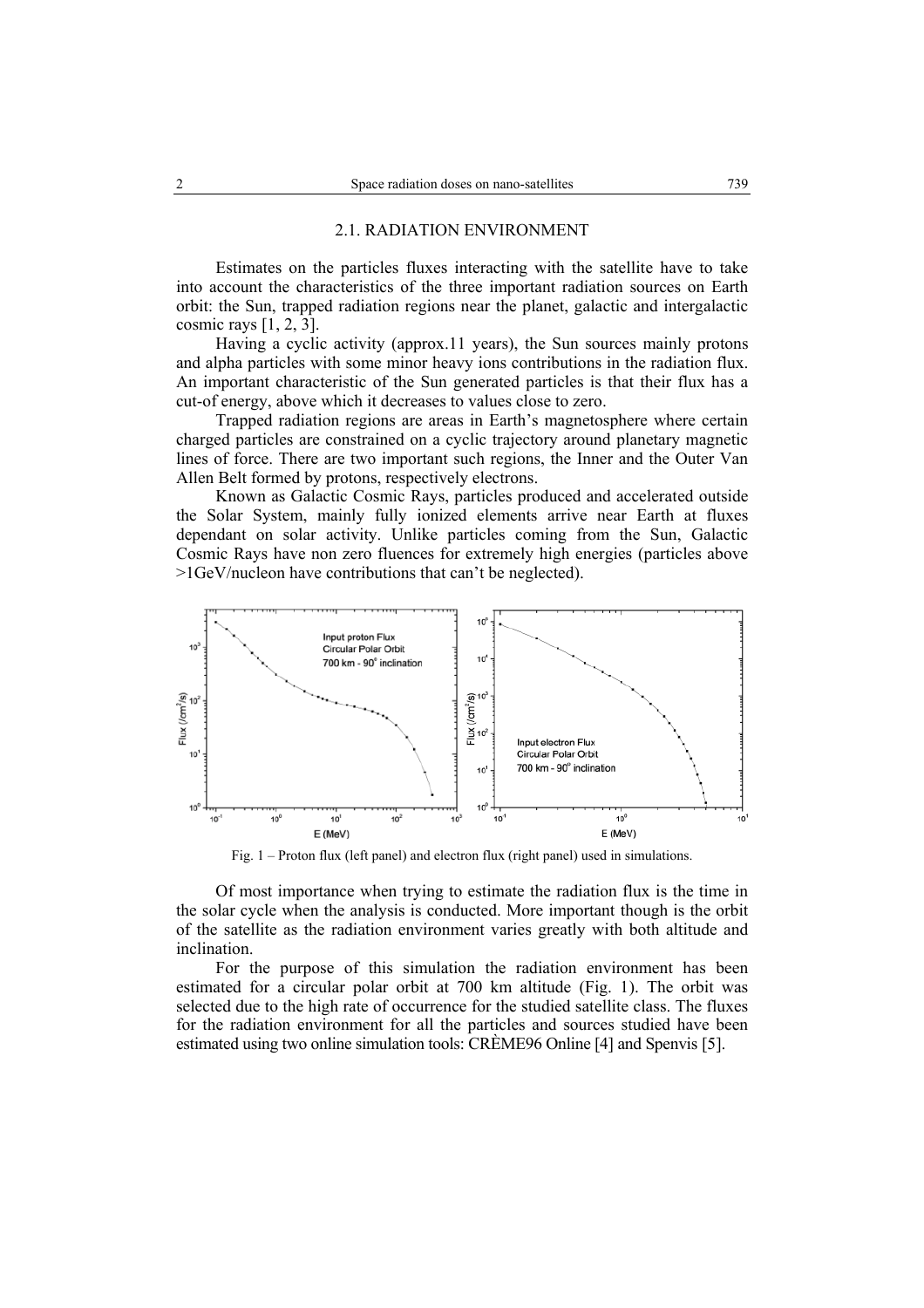#### 2.1. RADIATION ENVIRONMENT

Estimates on the particles fluxes interacting with the satellite have to take into account the characteristics of the three important radiation sources on Earth orbit: the Sun, trapped radiation regions near the planet, galactic and intergalactic cosmic rays [1, 2, 3].

Having a cyclic activity (approx.11 years), the Sun sources mainly protons and alpha particles with some minor heavy ions contributions in the radiation flux. An important characteristic of the Sun generated particles is that their flux has a cut-of energy, above which it decreases to values close to zero.

Trapped radiation regions are areas in Earth's magnetosphere where certain charged particles are constrained on a cyclic trajectory around planetary magnetic lines of force. There are two important such regions, the Inner and the Outer Van Allen Belt formed by protons, respectively electrons.

Known as Galactic Cosmic Rays, particles produced and accelerated outside the Solar System, mainly fully ionized elements arrive near Earth at fluxes dependant on solar activity. Unlike particles coming from the Sun, Galactic Cosmic Rays have non zero fluences for extremely high energies (particles above >1GeV/nucleon have contributions that can't be neglected).



Fig. 1 – Proton flux (left panel) and electron flux (right panel) used in simulations.

Of most importance when trying to estimate the radiation flux is the time in the solar cycle when the analysis is conducted. More important though is the orbit of the satellite as the radiation environment varies greatly with both altitude and inclination.

For the purpose of this simulation the radiation environment has been estimated for a circular polar orbit at 700 km altitude (Fig. 1). The orbit was selected due to the high rate of occurrence for the studied satellite class. The fluxes for the radiation environment for all the particles and sources studied have been estimated using two online simulation tools: CRÈME96 Online [4] and Spenvis [5].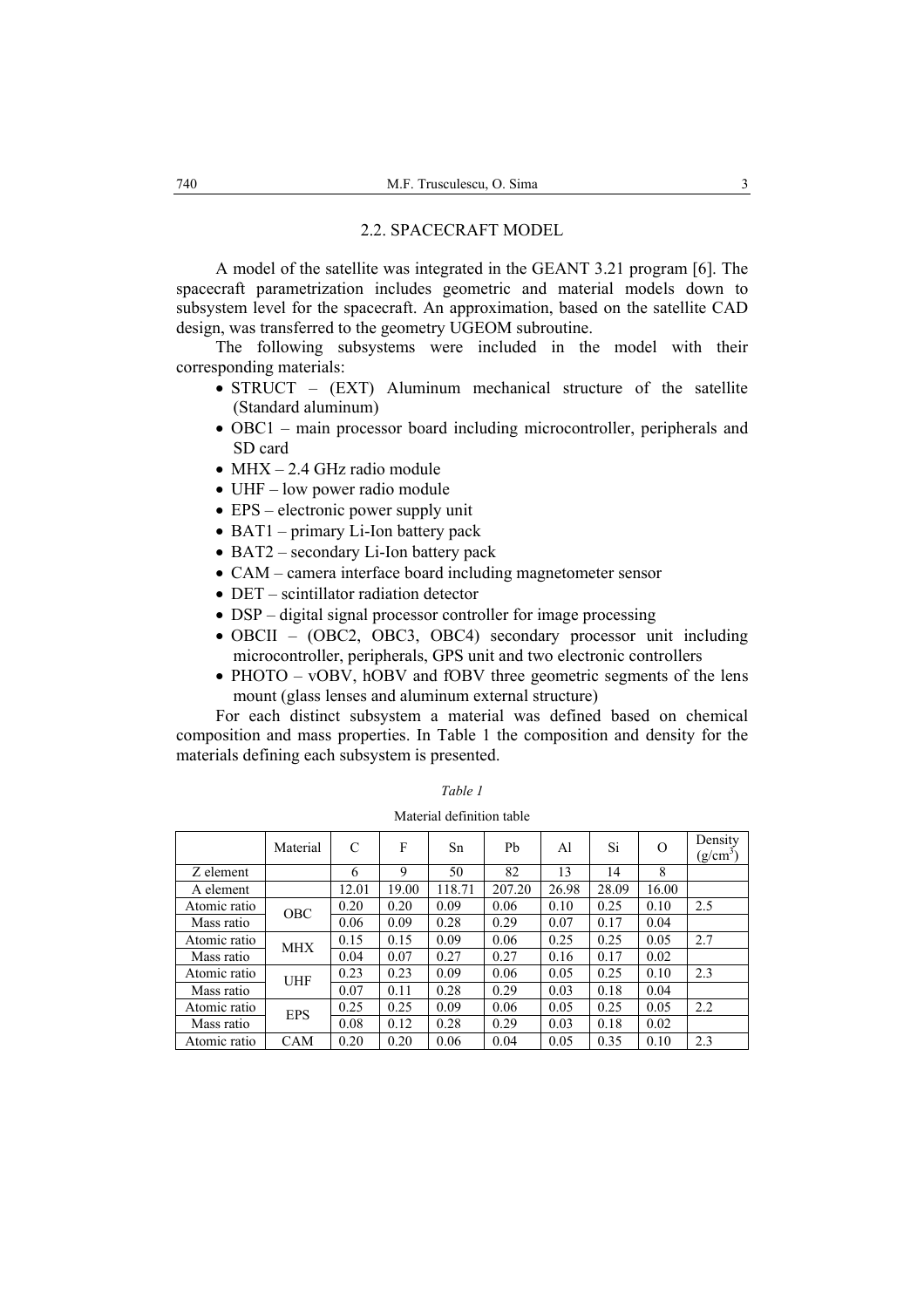#### 2.2. SPACECRAFT MODEL

A model of the satellite was integrated in the GEANT 3.21 program [6]. The spacecraft parametrization includes geometric and material models down to subsystem level for the spacecraft. An approximation, based on the satellite CAD design, was transferred to the geometry UGEOM subroutine.

The following subsystems were included in the model with their corresponding materials:

- STRUCT (EXT) Aluminum mechanical structure of the satellite (Standard aluminum)
- OBC1 main processor board including microcontroller, peripherals and SD card
- MHX 2.4 GHz radio module
- UHF low power radio module
- EPS electronic power supply unit
- BAT1 primary Li-Ion battery pack
- BAT2 secondary Li-Ion battery pack
- CAM camera interface board including magnetometer sensor
- DET scintillator radiation detector
- DSP digital signal processor controller for image processing
- OBCII (OBC2, OBC3, OBC4) secondary processor unit including microcontroller, peripherals, GPS unit and two electronic controllers
- PHOTO vOBV, hOBV and fOBV three geometric segments of the lens mount (glass lenses and aluminum external structure)

For each distinct subsystem a material was defined based on chemical composition and mass properties. In Table 1 the composition and density for the materials defining each subsystem is presented.

|              | Material   | $\mathcal{C}$ | F     | Sn     | Pb     | Al    | Si    | $\Omega$ | Density<br>$(g/cm^3)$ |
|--------------|------------|---------------|-------|--------|--------|-------|-------|----------|-----------------------|
| Z element    |            | 6             | 9     | 50     | 82     | 13    | 14    | 8        |                       |
| A element    |            | 12.01         | 19.00 | 118.71 | 207.20 | 26.98 | 28.09 | 16.00    |                       |
| Atomic ratio | <b>OBC</b> | 0.20          | 0.20  | 0.09   | 0.06   | 0.10  | 0.25  | 0.10     | 2.5                   |
| Mass ratio   |            | 0.06          | 0.09  | 0.28   | 0.29   | 0.07  | 0.17  | 0.04     |                       |
| Atomic ratio | <b>MHX</b> | 0.15          | 0.15  | 0.09   | 0.06   | 0.25  | 0.25  | 0.05     | 2.7                   |
| Mass ratio   |            | 0.04          | 0.07  | 0.27   | 0.27   | 0.16  | 0.17  | 0.02     |                       |
| Atomic ratio | <b>UHF</b> | 0.23          | 0.23  | 0.09   | 0.06   | 0.05  | 0.25  | 0.10     | 2.3                   |
| Mass ratio   |            | 0.07          | 0.11  | 0.28   | 0.29   | 0.03  | 0.18  | 0.04     |                       |
| Atomic ratio | <b>EPS</b> | 0.25          | 0.25  | 0.09   | 0.06   | 0.05  | 0.25  | 0.05     | 2.2                   |
| Mass ratio   |            | 0.08          | 0.12  | 0.28   | 0.29   | 0.03  | 0.18  | 0.02     |                       |
| Atomic ratio | <b>CAM</b> | 0.20          | 0.20  | 0.06   | 0.04   | 0.05  | 0.35  | 0.10     | 2.3                   |

*Table 1*  Material definition table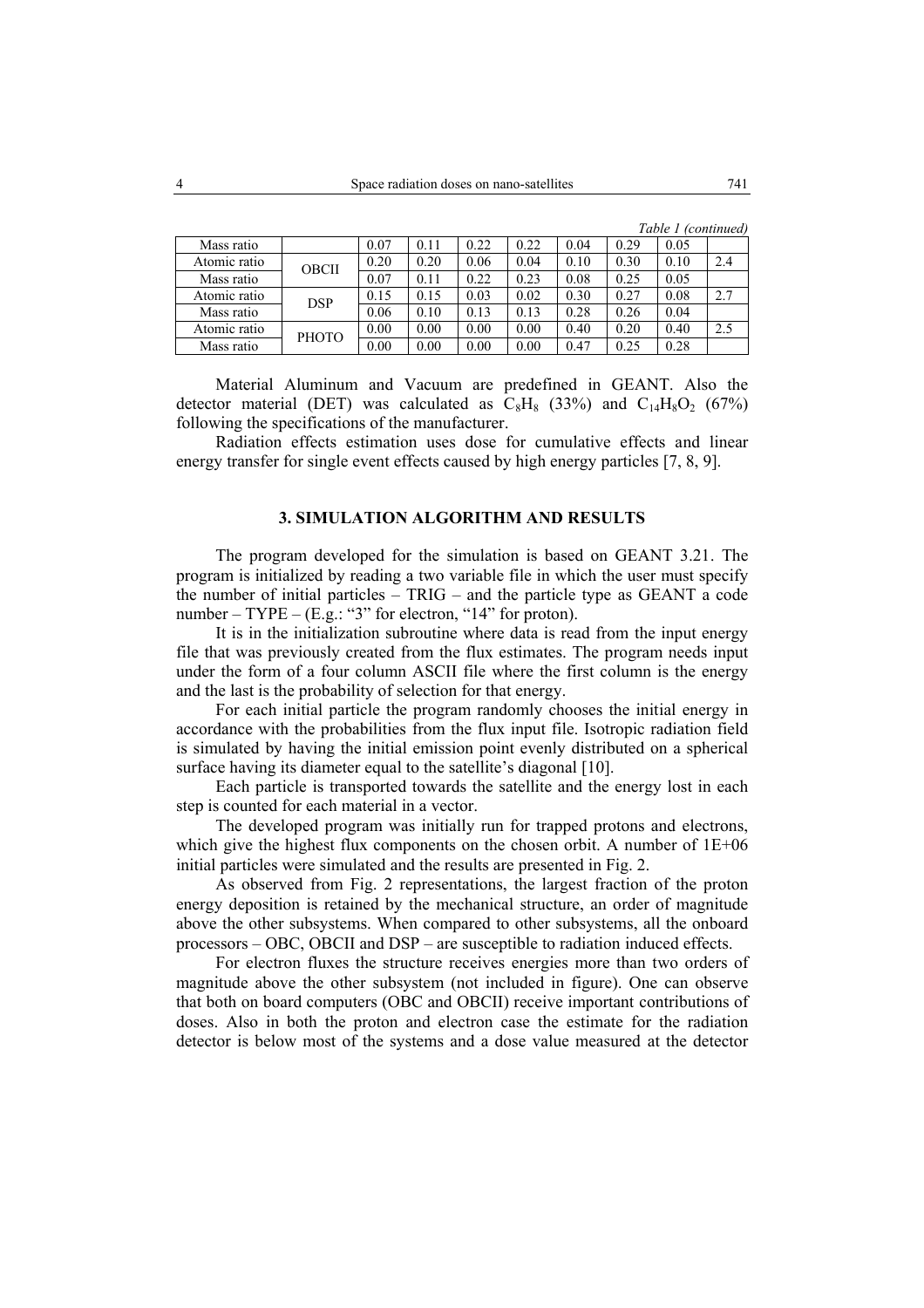|              |              |      |      |      |      |      |      | Table 1 (continued) |     |
|--------------|--------------|------|------|------|------|------|------|---------------------|-----|
| Mass ratio   |              | 0.07 | 0.11 | 0.22 | 0.22 | 0.04 | 0.29 | 0.05                |     |
| Atomic ratio | OBCII        | 0.20 | 0.20 | 0.06 | 0.04 | 0.10 | 0.30 | 0.10                | 2.4 |
| Mass ratio   |              | 0.07 | 0.11 | 0.22 | 0.23 | 0.08 | 0.25 | 0.05                |     |
| Atomic ratio | <b>DSP</b>   | 0.15 | 0.15 | 0.03 | 0.02 | 0.30 | 0.27 | 0.08                | 2.7 |
| Mass ratio   |              | 0.06 | 0.10 | 0.13 | 0.13 | 0.28 | 0.26 | 0.04                |     |
| Atomic ratio | <b>PHOTO</b> | 0.00 | 0.00 | 0.00 | 0.00 | 0.40 | 0.20 | 0.40                | 2.5 |
| Mass ratio   |              | 0.00 | 0.00 | 0.00 | 0.00 | 0.47 | 0.25 | 0.28                |     |

Material Aluminum and Vacuum are predefined in GEANT. Also the detector material (DET) was calculated as  $C_8H_8$  (33%) and  $C_{14}H_8O_2$  (67%) following the specifications of the manufacturer.

Radiation effects estimation uses dose for cumulative effects and linear energy transfer for single event effects caused by high energy particles [7, 8, 9].

# **3. SIMULATION ALGORITHM AND RESULTS**

The program developed for the simulation is based on GEANT 3.21. The program is initialized by reading a two variable file in which the user must specify the number of initial particles – TRIG – and the particle type as GEANT a code number – TYPE –  $(E.g.: "3"$  for electron, "14" for proton).

It is in the initialization subroutine where data is read from the input energy file that was previously created from the flux estimates. The program needs input under the form of a four column ASCII file where the first column is the energy and the last is the probability of selection for that energy.

For each initial particle the program randomly chooses the initial energy in accordance with the probabilities from the flux input file. Isotropic radiation field is simulated by having the initial emission point evenly distributed on a spherical surface having its diameter equal to the satellite's diagonal [10].

Each particle is transported towards the satellite and the energy lost in each step is counted for each material in a vector.

The developed program was initially run for trapped protons and electrons, which give the highest flux components on the chosen orbit. A number of  $1E+06$ initial particles were simulated and the results are presented in Fig. 2.

As observed from Fig. 2 representations, the largest fraction of the proton energy deposition is retained by the mechanical structure, an order of magnitude above the other subsystems. When compared to other subsystems, all the onboard processors – OBC, OBCII and DSP – are susceptible to radiation induced effects.

For electron fluxes the structure receives energies more than two orders of magnitude above the other subsystem (not included in figure). One can observe that both on board computers (OBC and OBCII) receive important contributions of doses. Also in both the proton and electron case the estimate for the radiation detector is below most of the systems and a dose value measured at the detector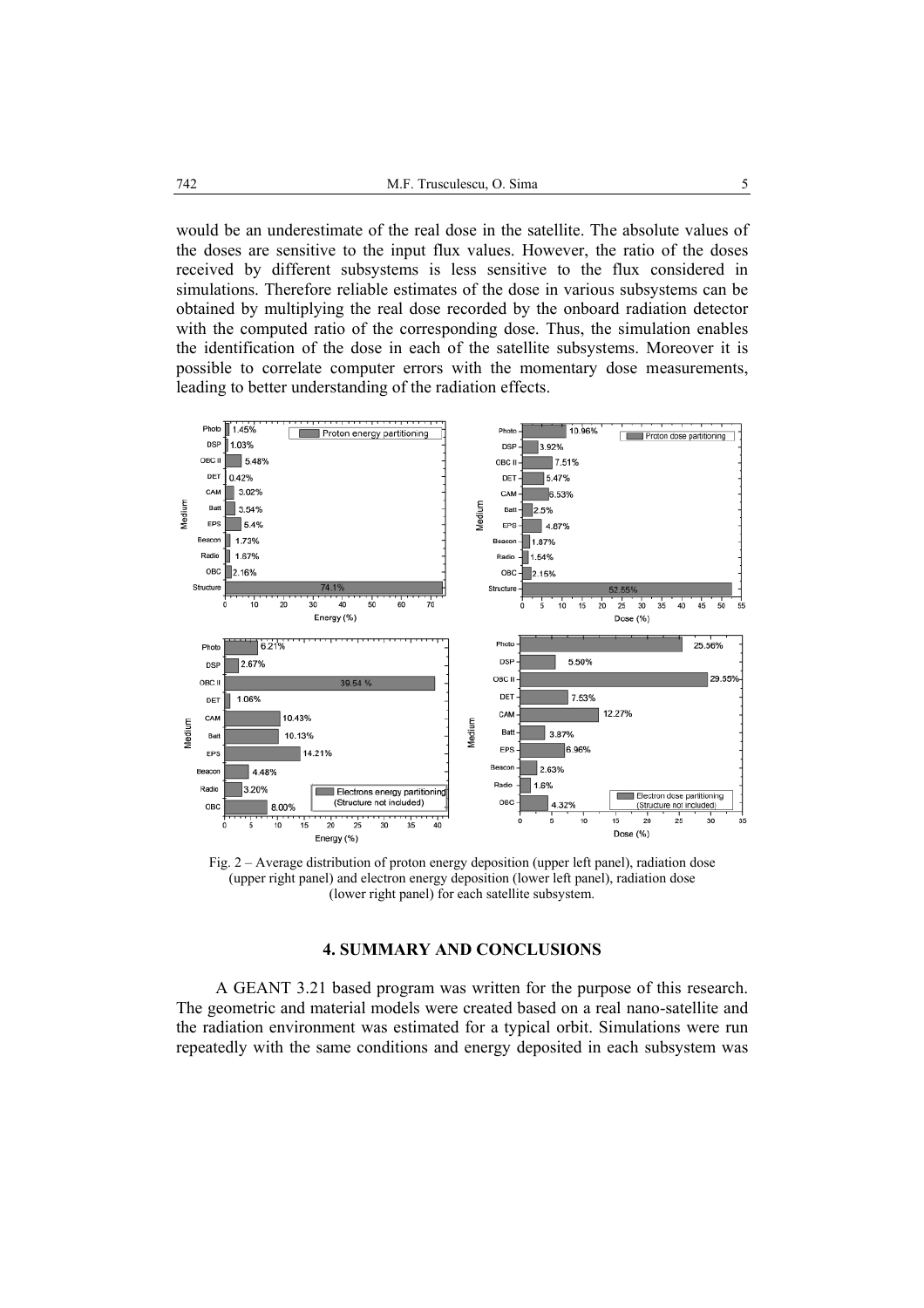would be an underestimate of the real dose in the satellite. The absolute values of the doses are sensitive to the input flux values. However, the ratio of the doses received by different subsystems is less sensitive to the flux considered in simulations. Therefore reliable estimates of the dose in various subsystems can be obtained by multiplying the real dose recorded by the onboard radiation detector with the computed ratio of the corresponding dose. Thus, the simulation enables the identification of the dose in each of the satellite subsystems. Moreover it is possible to correlate computer errors with the momentary dose measurements, leading to better understanding of the radiation effects.



Fig. 2 – Average distribution of proton energy deposition (upper left panel), radiation dose (upper right panel) and electron energy deposition (lower left panel), radiation dose (lower right panel) for each satellite subsystem.

## **4. SUMMARY AND CONCLUSIONS**

A GEANT 3.21 based program was written for the purpose of this research. The geometric and material models were created based on a real nano-satellite and the radiation environment was estimated for a typical orbit. Simulations were run repeatedly with the same conditions and energy deposited in each subsystem was